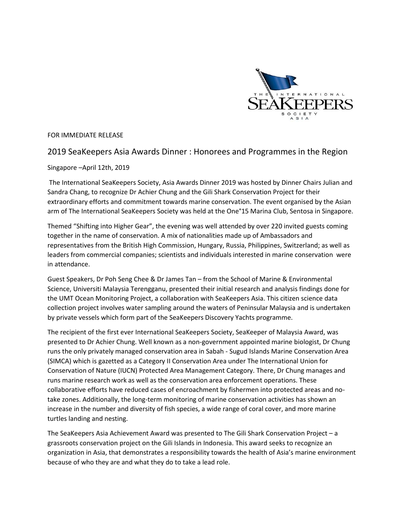

FOR IMMEDIATE RELEASE

## 2019 SeaKeepers Asia Awards Dinner : Honorees and Programmes in the Region

## Singapore –April 12th, 2019

The International SeaKeepers Society, Asia Awards Dinner 2019 was hosted by Dinner Chairs Julian and Sandra Chang, to recognize Dr Achier Chung and the Gili Shark Conservation Project for their extraordinary efforts and commitment towards marine conservation. The event organised by the Asian arm of The International SeaKeepers Society was held at the One°15 Marina Club, Sentosa in Singapore.

Themed "Shifting into Higher Gear", the evening was well attended by over 220 invited guests coming together in the name of conservation. A mix of nationalities made up of Ambassadors and representatives from the British High Commission, Hungary, Russia, Philippines, Switzerland; as well as leaders from commercial companies; scientists and individuals interested in marine conservation were in attendance.

Guest Speakers, Dr Poh Seng Chee & Dr James Tan – from the School of Marine & Environmental Science, Universiti Malaysia Terengganu, presented their initial research and analysis findings done for the UMT Ocean Monitoring Project, a collaboration with SeaKeepers Asia. This citizen science data collection project involves water sampling around the waters of Peninsular Malaysia and is undertaken by private vessels which form part of the SeaKeepers Discovery Yachts programme.

The recipient of the first ever International SeaKeepers Society, SeaKeeper of Malaysia Award, was presented to Dr Achier Chung. Well known as a non-government appointed marine biologist, Dr Chung runs the only privately managed conservation area in Sabah - Sugud Islands Marine Conservation Area (SIMCA) which is gazetted as a Category II Conservation Area under The International Union for Conservation of Nature (IUCN) Protected Area Management Category. There, Dr Chung manages and runs marine research work as well as the conservation area enforcement operations. These collaborative efforts have reduced cases of encroachment by fishermen into protected areas and notake zones. Additionally, the long-term monitoring of marine conservation activities has shown an increase in the number and diversity of fish species, a wide range of coral cover, and more marine turtles landing and nesting.

The SeaKeepers Asia Achievement Award was presented to The Gili Shark Conservation Project – a grassroots conservation project on the Gili Islands in Indonesia. This award seeks to recognize an organization in Asia, that demonstrates a responsibility towards the health of Asia's marine environment because of who they are and what they do to take a lead role.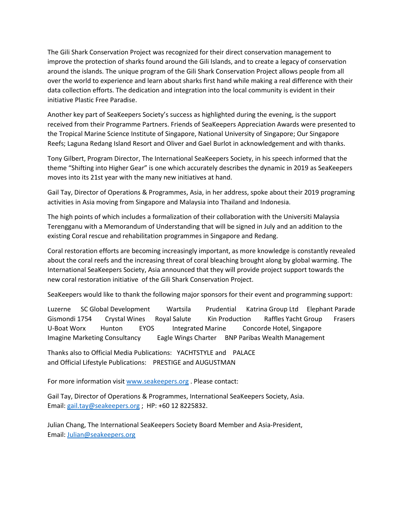The Gili Shark Conservation Project was recognized for their direct conservation management to improve the protection of sharks found around the Gili Islands, and to create a legacy of conservation around the islands. The unique program of the Gili Shark Conservation Project allows people from all over the world to experience and learn about sharks first hand while making a real difference with their data collection efforts. The dedication and integration into the local community is evident in their initiative Plastic Free Paradise.

Another key part of SeaKeepers Society's success as highlighted during the evening, is the support received from their Programme Partners. Friends of SeaKeepers Appreciation Awards were presented to the Tropical Marine Science Institute of Singapore, National University of Singapore; Our Singapore Reefs; Laguna Redang Island Resort and Oliver and Gael Burlot in acknowledgement and with thanks.

Tony Gilbert, Program Director, The International SeaKeepers Society, in his speech informed that the theme "Shifting into Higher Gear" is one which accurately describes the dynamic in 2019 as SeaKeepers moves into its 21st year with the many new initiatives at hand.

Gail Tay, Director of Operations & Programmes, Asia, in her address, spoke about their 2019 programing activities in Asia moving from Singapore and Malaysia into Thailand and Indonesia.

The high points of which includes a formalization of their collaboration with the Universiti Malaysia Terengganu with a Memorandum of Understanding that will be signed in July and an addition to the existing Coral rescue and rehabilitation programmes in Singapore and Redang.

Coral restoration efforts are becoming increasingly important, as more knowledge is constantly revealed about the coral reefs and the increasing threat of coral bleaching brought along by global warming. The International SeaKeepers Society, Asia announced that they will provide project support towards the new coral restoration initiative of the Gili Shark Conservation Project.

SeaKeepers would like to thank the following major sponsors for their event and programming support:

Luzerne SC Global Development Wartsila Prudential Katrina Group Ltd Elephant Parade Gismondi 1754 Crystal Wines Royal Salute Kin Production Raffles Yacht Group Frasers U-Boat Worx Hunton EYOS Integrated Marine Concorde Hotel, Singapore Imagine Marketing Consultancy Eagle Wings Charter BNP Paribas Wealth Management

Thanks also to Official Media Publications: YACHTSTYLE and PALACE and Official Lifestyle Publications: PRESTIGE and AUGUSTMAN

For more information visi[t www.seakeepers.org](http://www.seakeepers.org/) . Please contact:

Gail Tay, Director of Operations & Programmes, International SeaKeepers Society, Asia. Email: [gail.tay@seakeepers.org](mailto:gail.tay@seakeepers.org) ; HP: +60 12 8225832.

Julian Chang, The International SeaKeepers Society Board Member and Asia-President, Email: [Julian@seakeepers.org](Julian@seakeepers.org%20%20)